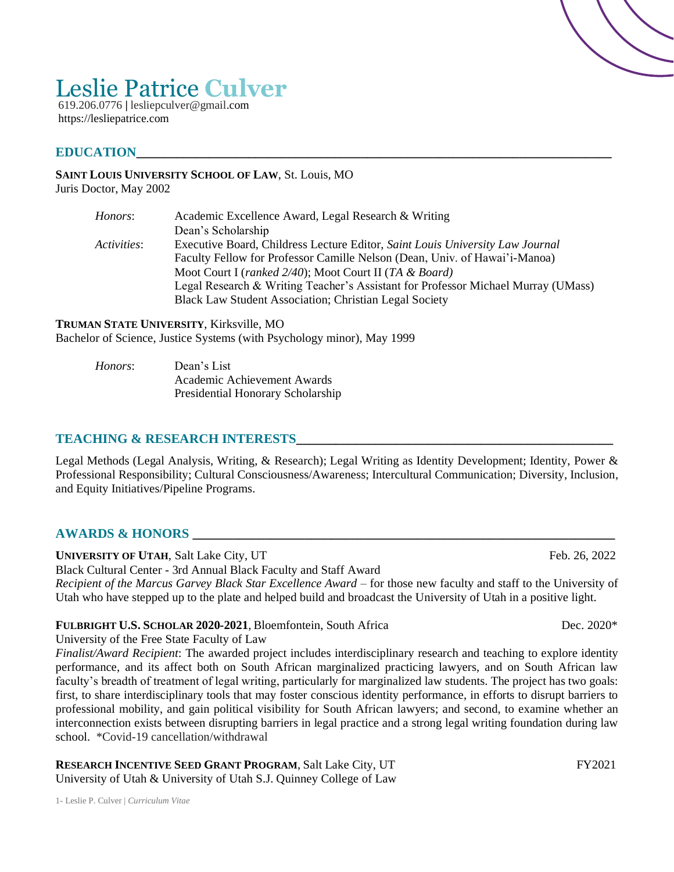# Leslie Patrice **Culver**

619.206.0776 **|** lesliepculver@gmail.com https://lesliepatrice.com

#### $E{\rm DUCATION}$

#### **SAINT LOUIS UNIVERSITY SCHOOL OF LAW**, St. Louis, MO

Juris Doctor, May 2002

| Honors:            | Academic Excellence Award, Legal Research & Writing                               |
|--------------------|-----------------------------------------------------------------------------------|
|                    | Dean's Scholarship                                                                |
| <i>Activities:</i> | Executive Board, Childress Lecture Editor, Saint Louis University Law Journal     |
|                    | Faculty Fellow for Professor Camille Nelson (Dean, Univ. of Hawai'i-Manoa)        |
|                    | Moot Court I (ranked 2/40); Moot Court II (TA & Board)                            |
|                    | Legal Research & Writing Teacher's Assistant for Professor Michael Murray (UMass) |
|                    | Black Law Student Association; Christian Legal Society                            |

#### **TRUMAN STATE UNIVERSITY**, Kirksville, MO

Bachelor of Science, Justice Systems (with Psychology minor), May 1999

*Honors*: Dean's List Academic Achievement Awards Presidential Honorary Scholarship

#### **TEACHING & RESEARCH INTERESTS\_\_\_\_\_\_\_\_\_\_\_\_\_\_\_\_\_\_\_\_\_\_\_\_\_\_\_\_\_\_\_\_\_\_\_\_\_\_\_\_\_\_\_\_\_\_\_\_**

Legal Methods (Legal Analysis, Writing, & Research); Legal Writing as Identity Development; Identity, Power & Professional Responsibility; Cultural Consciousness/Awareness; Intercultural Communication; Diversity, Inclusion, and Equity Initiatives/Pipeline Programs.

#### **AWARDS & HONORS**

**UNIVERSITY OF UTAH, Salt Lake City, UT Feb. 26, 2022** 

Black Cultural Center - 3rd Annual Black Faculty and Staff Award *Recipient of the Marcus Garvey Black Star Excellence Award –* for those new faculty and staff to the University of Utah who have stepped up to the plate and helped build and broadcast the University of Utah in a positive light.

#### **FULBRIGHT U.S. SCHOLAR 2020-2021**, Bloemfontein, South Africa Dec. 2020\*

University of the Free State Faculty of Law

*Finalist/Award Recipient*: The awarded project includes interdisciplinary research and teaching to explore identity performance, and its affect both on South African marginalized practicing lawyers, and on South African law faculty's breadth of treatment of legal writing, particularly for marginalized law students. The project has two goals: first, to share interdisciplinary tools that may foster conscious identity performance, in efforts to disrupt barriers to professional mobility, and gain political visibility for South African lawyers; and second, to examine whether an interconnection exists between disrupting barriers in legal practice and a strong legal writing foundation during law school. \*Covid-19 cancellation/withdrawal

**RESEARCH INCENTIVE SEED GRANT PROGRAM**, Salt Lake City, UT FY2021 University of Utah & University of Utah S.J. Quinney College of Law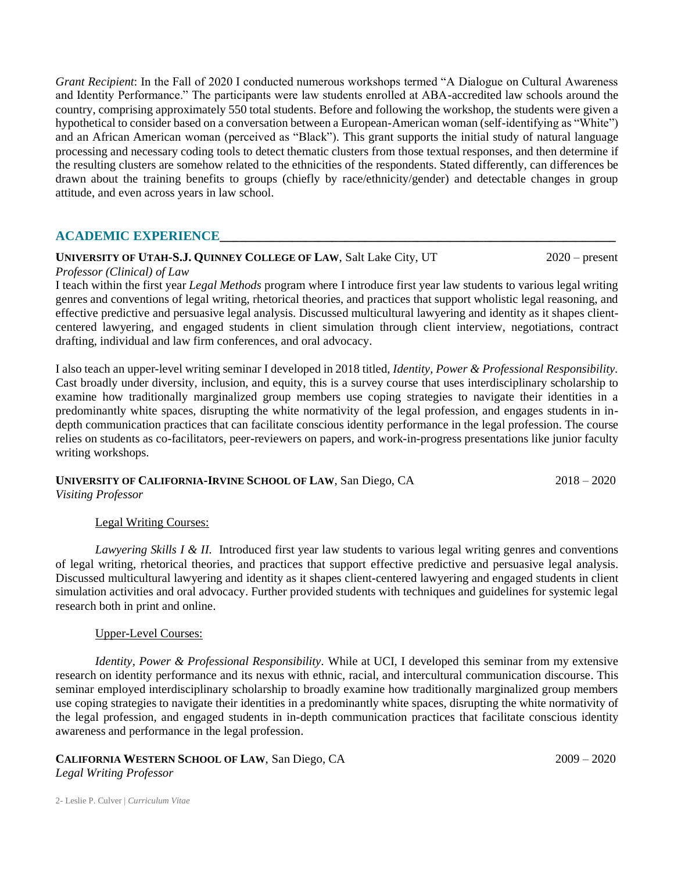*Grant Recipient*: In the Fall of 2020 I conducted numerous workshops termed "A Dialogue on Cultural Awareness and Identity Performance." The participants were law students enrolled at ABA-accredited law schools around the country, comprising approximately 550 total students. Before and following the workshop, the students were given a hypothetical to consider based on a conversation between a European-American woman (self-identifying as "White") and an African American woman (perceived as "Black"). This grant supports the initial study of natural language processing and necessary coding tools to detect thematic clusters from those textual responses, and then determine if the resulting clusters are somehow related to the ethnicities of the respondents. Stated differently, can differences be drawn about the training benefits to groups (chiefly by race/ethnicity/gender) and detectable changes in group attitude, and even across years in law school.

### **ACADEMIC EXPERIENCE\_\_\_\_\_\_\_\_\_\_\_\_\_\_\_\_\_\_\_\_\_\_\_\_\_\_\_\_\_\_\_\_\_\_\_\_\_\_\_\_\_\_\_\_\_\_\_\_\_\_\_\_\_\_\_\_\_\_\_\_**

#### **UNIVERSITY OF UTAH-S.J. QUINNEY COLLEGE OF LAW**, Salt Lake City, UT 2020 – present

#### *Professor (Clinical) of Law*

I teach within the first year *Legal Methods* program where I introduce first year law students to various legal writing genres and conventions of legal writing, rhetorical theories, and practices that support wholistic legal reasoning, and effective predictive and persuasive legal analysis. Discussed multicultural lawyering and identity as it shapes clientcentered lawyering, and engaged students in client simulation through client interview, negotiations, contract drafting, individual and law firm conferences, and oral advocacy.

I also teach an upper-level writing seminar I developed in 2018 titled, *Identity, Power & Professional Responsibility.*  Cast broadly under diversity, inclusion, and equity, this is a survey course that uses interdisciplinary scholarship to examine how traditionally marginalized group members use coping strategies to navigate their identities in a predominantly white spaces, disrupting the white normativity of the legal profession, and engages students in indepth communication practices that can facilitate conscious identity performance in the legal profession. The course relies on students as co-facilitators, peer-reviewers on papers, and work-in-progress presentations like junior faculty writing workshops.

# **UNIVERSITY OF CALIFORNIA-IRVINE SCHOOL OF LAW**, San Diego, CA 2018 – 2020

*Visiting Professor* 

#### Legal Writing Courses:

*Lawyering Skills I & II.* Introduced first year law students to various legal writing genres and conventions of legal writing, rhetorical theories, and practices that support effective predictive and persuasive legal analysis. Discussed multicultural lawyering and identity as it shapes client-centered lawyering and engaged students in client simulation activities and oral advocacy. Further provided students with techniques and guidelines for systemic legal research both in print and online.

#### Upper-Level Courses:

*Identity, Power & Professional Responsibility.* While at UCI, I developed this seminar from my extensive research on identity performance and its nexus with ethnic, racial, and intercultural communication discourse. This seminar employed interdisciplinary scholarship to broadly examine how traditionally marginalized group members use coping strategies to navigate their identities in a predominantly white spaces, disrupting the white normativity of the legal profession, and engaged students in in-depth communication practices that facilitate conscious identity awareness and performance in the legal profession.

#### **CALIFORNIA WESTERN SCHOOL OF LAW**, San Diego, CA 2009 – 2020 *Legal Writing Professor*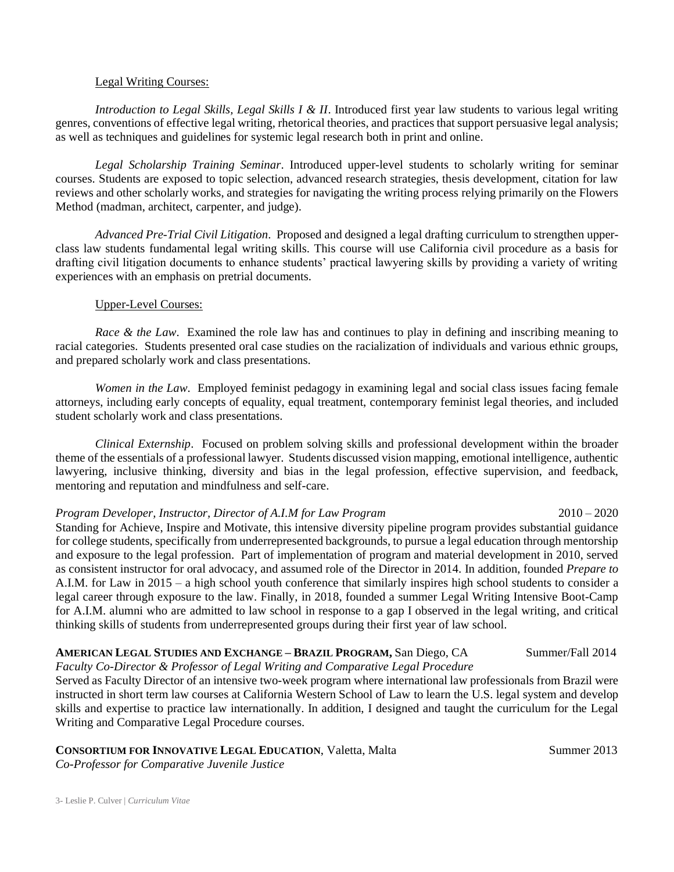#### Legal Writing Courses:

*Introduction to Legal Skills, Legal Skills I & II*. Introduced first year law students to various legal writing genres, conventions of effective legal writing, rhetorical theories, and practices that support persuasive legal analysis; as well as techniques and guidelines for systemic legal research both in print and online.

*Legal Scholarship Training Seminar*. Introduced upper-level students to scholarly writing for seminar courses. Students are exposed to topic selection, advanced research strategies, thesis development, citation for law reviews and other scholarly works, and strategies for navigating the writing process relying primarily on the Flowers Method (madman, architect, carpenter, and judge).

*Advanced Pre-Trial Civil Litigation*. Proposed and designed a legal drafting curriculum to strengthen upperclass law students fundamental legal writing skills. This course will use California civil procedure as a basis for drafting civil litigation documents to enhance students' practical lawyering skills by providing a variety of writing experiences with an emphasis on pretrial documents.

#### Upper-Level Courses:

*Race & the Law.* Examined the role law has and continues to play in defining and inscribing meaning to racial categories. Students presented oral case studies on the racialization of individuals and various ethnic groups, and prepared scholarly work and class presentations.

*Women in the Law*. Employed feminist pedagogy in examining legal and social class issues facing female attorneys, including early concepts of equality, equal treatment, contemporary feminist legal theories, and included student scholarly work and class presentations.

*Clinical Externship*. Focused on problem solving skills and professional development within the broader theme of the essentials of a professional lawyer. Students discussed vision mapping, emotional intelligence, authentic lawyering, inclusive thinking, diversity and bias in the legal profession, effective supervision, and feedback, mentoring and reputation and mindfulness and self-care.

#### *Program Developer, Instructor, Director of A.I.M for Law Program* 2010 – 2020

Standing for Achieve, Inspire and Motivate, this intensive diversity pipeline program provides substantial guidance for college students, specifically from underrepresented backgrounds, to pursue a legal education through mentorship and exposure to the legal profession. Part of implementation of program and material development in 2010, served as consistent instructor for oral advocacy, and assumed role of the Director in 2014. In addition, founded *Prepare to* A.I.M. for Law in 2015 – a high school youth conference that similarly inspires high school students to consider a legal career through exposure to the law. Finally, in 2018, founded a summer Legal Writing Intensive Boot-Camp for A.I.M. alumni who are admitted to law school in response to a gap I observed in the legal writing, and critical thinking skills of students from underrepresented groups during their first year of law school.

#### **AMERICAN LEGAL STUDIES AND EXCHANGE – BRAZIL PROGRAM,** San Diego, CA Summer/Fall 2014 *Faculty Co-Director & Professor of Legal Writing and Comparative Legal Procedure*

Served as Faculty Director of an intensive two-week program where international law professionals from Brazil were instructed in short term law courses at California Western School of Law to learn the U.S. legal system and develop skills and expertise to practice law internationally. In addition, I designed and taught the curriculum for the Legal Writing and Comparative Legal Procedure courses.

**CONSORTIUM FOR INNOVATIVE LEGAL EDUCATION, Valetta, Malta Summer 2013** 

*Co-Professor for Comparative Juvenile Justice*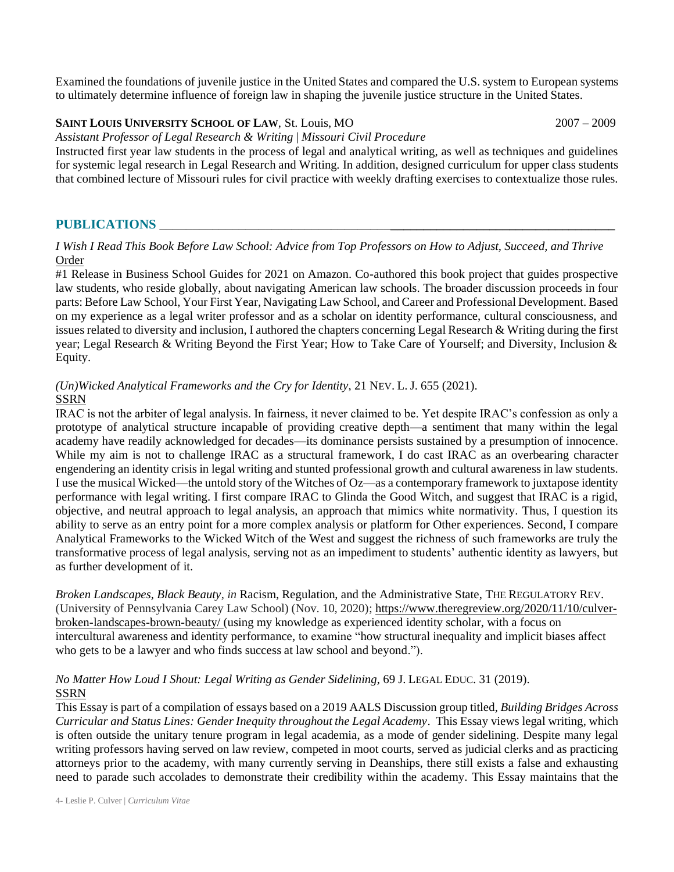Examined the foundations of juvenile justice in the United States and compared the U.S. system to European systems to ultimately determine influence of foreign law in shaping the juvenile justice structure in the United States.

#### **SAINT LOUIS UNIVERSITY SCHOOL OF LAW**, St. Louis, MO 2007 – 2009

*Assistant Professor of Legal Research & Writing* | *Missouri Civil Procedure*

Instructed first year law students in the process of legal and analytical writing, as well as techniques and guidelines for systemic legal research in Legal Research and Writing. In addition, designed curriculum for upper class students that combined lecture of Missouri rules for civil practice with weekly drafting exercises to contextualize those rules.

#### **PUBLICATIONS** \_\_\_\_\_\_\_\_\_\_\_\_\_\_\_\_\_\_\_\_\_\_\_\_\_\_\_\_\_\_\_\_\_\_\_**\_\_\_\_\_\_\_\_\_\_\_\_\_\_\_\_\_\_\_\_\_\_\_\_\_\_\_\_\_\_\_\_\_\_**

*I Wish I Read This Book Before Law School: Advice from Top Professors on How to Adjust, Succeed, and Thrive* [Order](https://www.amazon.com/Wish-Read-This-Before-School/dp/0768945631/ref=sr_1_2?keywords=I+wish+I+read+this+before+law+school&qid=1636570010&sr=8-2)

#1 Release in Business School Guides for 2021 on Amazon. Co-authored this book project that guides prospective law students, who reside globally, about navigating American law schools. The broader discussion proceeds in four parts: Before Law School, Your First Year, Navigating Law School, and Career and Professional Development. Based on my experience as a legal writer professor and as a scholar on identity performance, cultural consciousness, and issues related to diversity and inclusion, I authored the chapters concerning Legal Research & Writing during the first year; Legal Research & Writing Beyond the First Year; How to Take Care of Yourself; and Diversity, Inclusion & Equity.

#### *(Un)Wicked Analytical Frameworks and the Cry for Identity*, 21 NEV. L. J. 655 (2021). [SSRN](https://ssrn.com/abstract=3402173)

IRAC is not the arbiter of legal analysis. In fairness, it never claimed to be. Yet despite IRAC's confession as only a prototype of analytical structure incapable of providing creative depth—a sentiment that many within the legal academy have readily acknowledged for decades—its dominance persists sustained by a presumption of innocence. While my aim is not to challenge IRAC as a structural framework, I do cast IRAC as an overbearing character engendering an identity crisis in legal writing and stunted professional growth and cultural awareness in law students. I use the musical Wicked—the untold story of the Witches of Oz—as a contemporary framework to juxtapose identity performance with legal writing. I first compare IRAC to Glinda the Good Witch, and suggest that IRAC is a rigid, objective, and neutral approach to legal analysis, an approach that mimics white normativity. Thus, I question its ability to serve as an entry point for a more complex analysis or platform for Other experiences. Second, I compare Analytical Frameworks to the Wicked Witch of the West and suggest the richness of such frameworks are truly the transformative process of legal analysis, serving not as an impediment to students' authentic identity as lawyers, but as further development of it.

*Broken Landscapes, Black Beauty*, *in* Racism, Regulation, and the Administrative State, THE REGULATORY REV. (University of Pennsylvania Carey Law School) (Nov. 10, 2020); [https://www.theregreview.org/2020/11/10/culver](https://www.theregreview.org/2020/11/10/culver-broken-landscapes-brown-beauty/)[broken-landscapes-brown-beauty/](https://www.theregreview.org/2020/11/10/culver-broken-landscapes-brown-beauty/) (using my knowledge as experienced identity scholar, with a focus on intercultural awareness and identity performance, to examine "how structural inequality and implicit biases affect who gets to be a lawyer and who finds success at law school and beyond.").

#### *No Matter How Loud I Shout: Legal Writing as Gender Sidelining*, 69 J. LEGAL EDUC. 31 (2019). [SSRN](https://ssrn.com/abstract=3898304)

This Essay is part of a compilation of essays based on a 2019 AALS Discussion group titled, *Building Bridges Across Curricular and Status Lines: Gender Inequity throughout the Legal Academy*. This Essay views legal writing, which is often outside the unitary tenure program in legal academia, as a mode of gender sidelining. Despite many legal writing professors having served on law review, competed in moot courts, served as judicial clerks and as practicing attorneys prior to the academy, with many currently serving in Deanships, there still exists a false and exhausting need to parade such accolades to demonstrate their credibility within the academy. This Essay maintains that the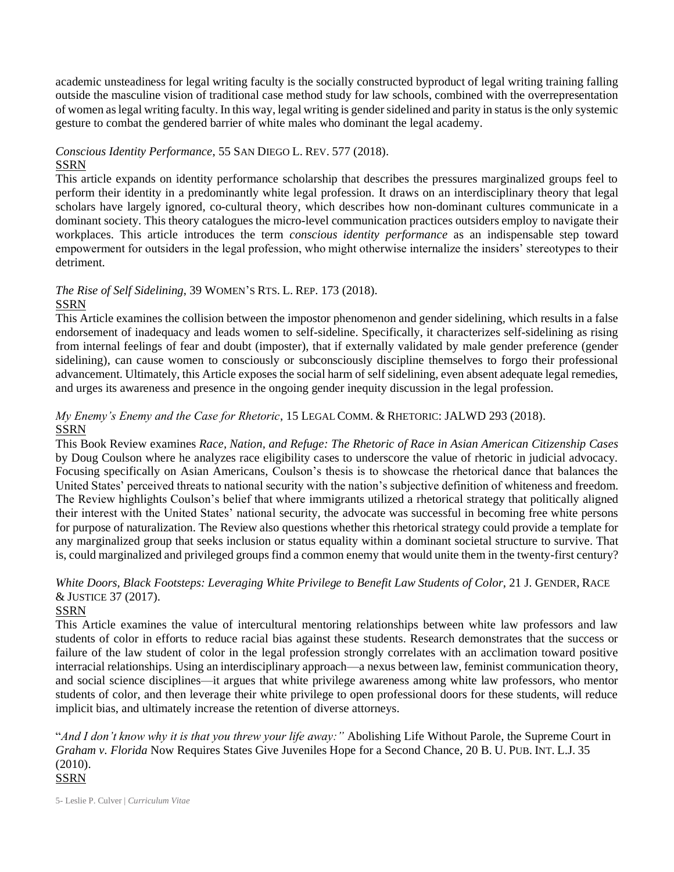academic unsteadiness for legal writing faculty is the socially constructed byproduct of legal writing training falling outside the masculine vision of traditional case method study for law schools, combined with the overrepresentation of women as legal writing faculty. In this way, legal writing is gender sidelined and parity in status is the only systemic gesture to combat the gendered barrier of white males who dominant the legal academy.

#### *Conscious Identity Performance*, 55 SAN DIEGO L. REV. 577 (2018). [SSRN](https://ssrn.com/abstract=3036768)

This article expands on identity performance scholarship that describes the pressures marginalized groups feel to perform their identity in a predominantly white legal profession. It draws on an interdisciplinary theory that legal scholars have largely ignored, co-cultural theory, which describes how non-dominant cultures communicate in a dominant society. This theory catalogues the micro-level communication practices outsiders employ to navigate their workplaces. This article introduces the term *conscious identity performance* as an indispensable step toward empowerment for outsiders in the legal profession, who might otherwise internalize the insiders' stereotypes to their detriment.

#### *The Rise of Self Sidelining*, 39 WOMEN'S RTS. L. REP. 173 (2018). [SSRN](https://papers.ssrn.com/sol3/papers.cfm?abstract_id=3085145)

This Article examines the collision between the impostor phenomenon and gender sidelining, which results in a false endorsement of inadequacy and leads women to self-sideline. Specifically, it characterizes self-sidelining as rising from internal feelings of fear and doubt (imposter), that if externally validated by male gender preference (gender sidelining), can cause women to consciously or subconsciously discipline themselves to forgo their professional advancement. Ultimately, this Article exposes the social harm of self sidelining, even absent adequate legal remedies, and urges its awareness and presence in the ongoing gender inequity discussion in the legal profession.

### *My Enemy's Enemy and the Case for Rhetoric*, 15 LEGAL COMM. & RHETORIC: JALWD 293 (2018). [SSRN](https://ssrn.com/abstract=3447905)

This Book Review examines *Race, Nation, and Refuge: The Rhetoric of Race in Asian American Citizenship Cases* by Doug Coulson where he analyzes race eligibility cases to underscore the value of rhetoric in judicial advocacy. Focusing specifically on Asian Americans, Coulson's thesis is to showcase the rhetorical dance that balances the United States' perceived threats to national security with the nation's subjective definition of whiteness and freedom. The Review highlights Coulson's belief that where immigrants utilized a rhetorical strategy that politically aligned their interest with the United States' national security, the advocate was successful in becoming free white persons for purpose of naturalization. The Review also questions whether this rhetorical strategy could provide a template for any marginalized group that seeks inclusion or status equality within a dominant societal structure to survive. That is, could marginalized and privileged groups find a common enemy that would unite them in the twenty-first century?

## *White Doors, Black Footsteps: Leveraging White Privilege to Benefit Law Students of Color*, 21 J. GENDER, RACE & JUSTICE 37 (2017).

#### [SSRN](https://ssrn.com/abstract=2878185)

This Article examines the value of intercultural mentoring relationships between white law professors and law students of color in efforts to reduce racial bias against these students. Research demonstrates that the success or failure of the law student of color in the legal profession strongly correlates with an acclimation toward positive interracial relationships. Using an interdisciplinary approach—a nexus between law, feminist communication theory, and social science disciplines—it argues that white privilege awareness among white law professors, who mentor students of color, and then leverage their white privilege to open professional doors for these students, will reduce implicit bias, and ultimately increase the retention of diverse attorneys.

"*And I don't know why it is that you threw your life away:"* Abolishing Life Without Parole, the Supreme Court in *Graham v. Florida* Now Requires States Give Juveniles Hope for a Second Chance, 20 B. U. PUB. INT. L.J. 35 (2010). [SSRN](https://ssrn.com/abstract=2878212)

5- Leslie P. Culver | *Curriculum Vitae*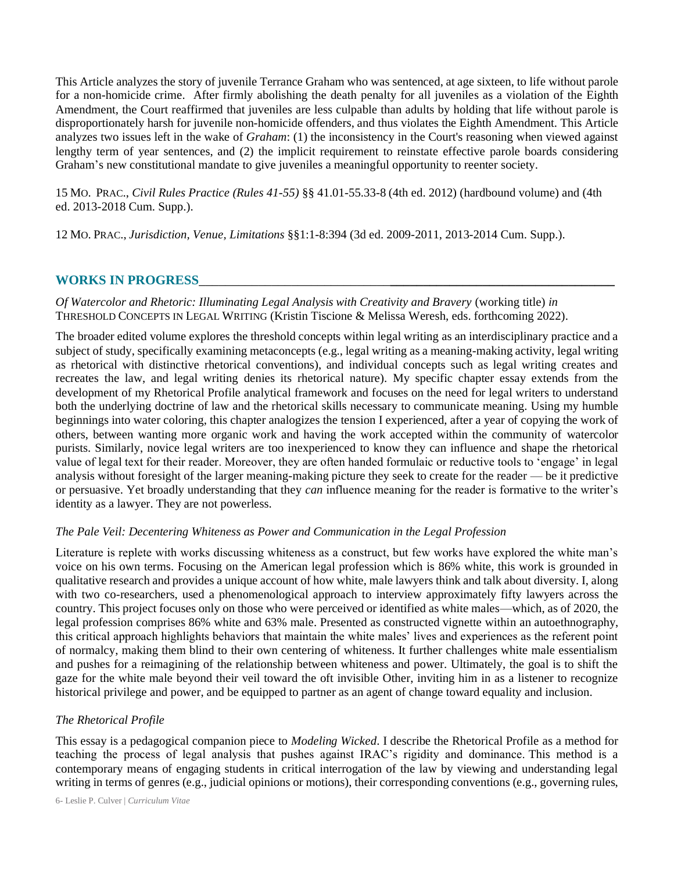This Article analyzes the story of juvenile Terrance Graham who was sentenced, at age sixteen, to life without parole for a non-homicide crime. After firmly abolishing the death penalty for all juveniles as a violation of the Eighth Amendment, the Court reaffirmed that juveniles are less culpable than adults by holding that life without parole is disproportionately harsh for juvenile non-homicide offenders, and thus violates the Eighth Amendment. This Article analyzes two issues left in the wake of *Graham*: (1) the inconsistency in the Court's reasoning when viewed against lengthy term of year sentences, and (2) the implicit requirement to reinstate effective parole boards considering Graham's new constitutional mandate to give juveniles a meaningful opportunity to reenter society.

15 MO. PRAC., *Civil Rules Practice (Rules 41-55)* §§ 41.01-55.33-8 (4th ed. 2012) (hardbound volume) and (4th ed. 2013-2018 Cum. Supp.).

12 MO. PRAC., *Jurisdiction, Venue, Limitations* §§1:1-8:394 (3d ed. 2009-2011, 2013-2014 Cum. Supp.).

#### **WORKS IN PROGRESS**\_\_\_\_\_\_\_\_\_\_\_\_\_\_\_\_\_\_\_\_\_\_\_\_\_\_\_\_\_**\_\_\_\_\_\_\_\_\_\_\_\_\_\_\_\_\_\_\_\_\_\_\_\_\_\_\_\_\_\_\_\_\_\_**

*Of Watercolor and Rhetoric: Illuminating Legal Analysis with Creativity and Bravery* (working title) *in* THRESHOLD CONCEPTS IN LEGAL WRITING (Kristin Tiscione & Melissa Weresh, eds. forthcoming 2022).

The broader edited volume explores the threshold concepts within legal writing as an interdisciplinary practice and a subject of study, specifically examining metaconcepts (e.g., legal writing as a meaning-making activity, legal writing as rhetorical with distinctive rhetorical conventions), and individual concepts such as legal writing creates and recreates the law, and legal writing denies its rhetorical nature). My specific chapter essay extends from the development of my Rhetorical Profile analytical framework and focuses on the need for legal writers to understand both the underlying doctrine of law and the rhetorical skills necessary to communicate meaning. Using my humble beginnings into water coloring, this chapter analogizes the tension I experienced, after a year of copying the work of others, between wanting more organic work and having the work accepted within the community of watercolor purists. Similarly, novice legal writers are too inexperienced to know they can influence and shape the rhetorical value of legal text for their reader. Moreover, they are often handed formulaic or reductive tools to 'engage' in legal analysis without foresight of the larger meaning-making picture they seek to create for the reader — be it predictive or persuasive. Yet broadly understanding that they *can* influence meaning for the reader is formative to the writer's identity as a lawyer. They are not powerless.

#### *The Pale Veil: Decentering Whiteness as Power and Communication in the Legal Profession*

Literature is replete with works discussing whiteness as a construct, but few works have explored the white man's voice on his own terms. Focusing on the American legal profession which is 86% white, this work is grounded in qualitative research and provides a unique account of how white, male lawyers think and talk about diversity. I, along with two co-researchers, used a phenomenological approach to interview approximately fifty lawyers across the country. This project focuses only on those who were perceived or identified as white males—which, as of 2020, the legal profession comprises 86% white and 63% male. Presented as constructed vignette within an autoethnography, this critical approach highlights behaviors that maintain the white males' lives and experiences as the referent point of normalcy, making them blind to their own centering of whiteness. It further challenges white male essentialism and pushes for a reimagining of the relationship between whiteness and power. Ultimately, the goal is to shift the gaze for the white male beyond their veil toward the oft invisible Other, inviting him in as a listener to recognize historical privilege and power, and be equipped to partner as an agent of change toward equality and inclusion.

#### *The Rhetorical Profile*

This essay is a pedagogical companion piece to *Modeling Wicked*. I describe the Rhetorical Profile as a method for teaching the process of legal analysis that pushes against IRAC's rigidity and dominance. This method is a contemporary means of engaging students in critical interrogation of the law by viewing and understanding legal writing in terms of genres (e.g., judicial opinions or motions), their corresponding conventions (e.g., governing rules,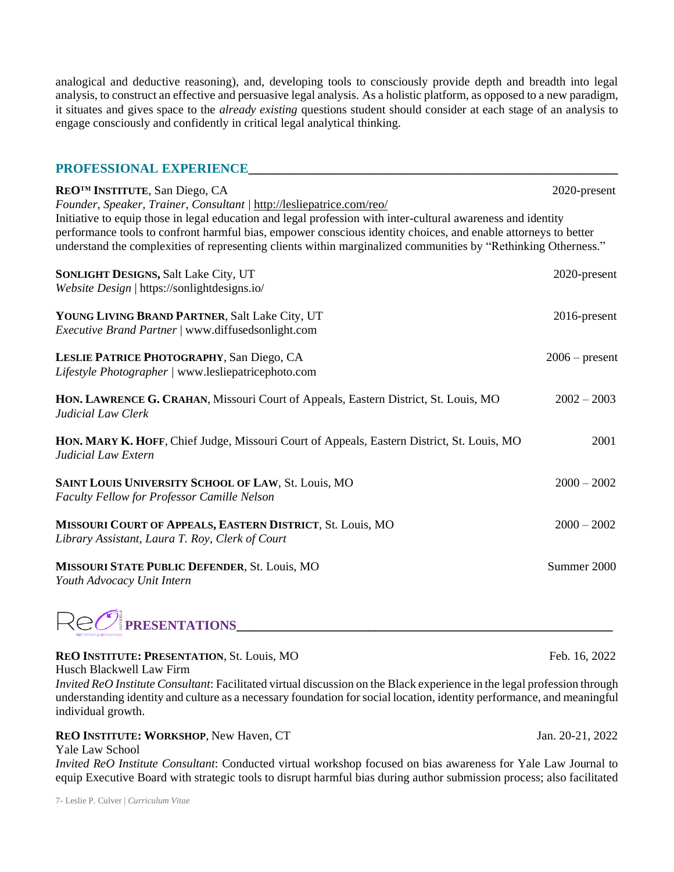analogical and deductive reasoning), and, developing tools to consciously provide depth and breadth into legal analysis, to construct an effective and persuasive legal analysis. As a holistic platform, as opposed to a new paradigm, it situates and gives space to the *already existing* questions student should consider at each stage of an analysis to engage consciously and confidently in critical legal analytical thinking.

| PROFESSIONAL EXPERIENCE                                                                                                                                                                                                          |                  |
|----------------------------------------------------------------------------------------------------------------------------------------------------------------------------------------------------------------------------------|------------------|
| REO <sup>TM</sup> INSTITUTE, San Diego, CA<br>Founder, Speaker, Trainer, Consultant / http://lesliepatrice.com/reo/                                                                                                              | 2020-present     |
| Initiative to equip those in legal education and legal profession with inter-cultural awareness and identity                                                                                                                     |                  |
| performance tools to confront harmful bias, empower conscious identity choices, and enable attorneys to better<br>understand the complexities of representing clients within marginalized communities by "Rethinking Otherness." |                  |
| <b>SONLIGHT DESIGNS, Salt Lake City, UT</b>                                                                                                                                                                                      | 2020-present     |
| Website Design   https://sonlightdesigns.io/                                                                                                                                                                                     |                  |
| YOUNG LIVING BRAND PARTNER, Salt Lake City, UT<br>Executive Brand Partner   www.diffusedsonlight.com                                                                                                                             | 2016-present     |
| LESLIE PATRICE PHOTOGRAPHY, San Diego, CA<br>Lifestyle Photographer / www.lesliepatricephoto.com                                                                                                                                 | $2006$ – present |
| HON. LAWRENCE G. CRAHAN, Missouri Court of Appeals, Eastern District, St. Louis, MO<br>Judicial Law Clerk                                                                                                                        | $2002 - 2003$    |
| HON. MARY K. HOFF, Chief Judge, Missouri Court of Appeals, Eastern District, St. Louis, MO<br>Judicial Law Extern                                                                                                                | 2001             |
| SAINT LOUIS UNIVERSITY SCHOOL OF LAW, St. Louis, MO<br>Faculty Fellow for Professor Camille Nelson                                                                                                                               | $2000 - 2002$    |
| MISSOURI COURT OF APPEALS, EASTERN DISTRICT, St. Louis, MO<br>Library Assistant, Laura T. Roy, Clerk of Court                                                                                                                    | $2000 - 2002$    |
| <b>MISSOURI STATE PUBLIC DEFENDER, St. Louis, MO</b><br>Youth Advocacy Unit Intern                                                                                                                                               | Summer 2000      |



#### **REO INSTITUTE: PRESENTATION, St. Louis, MO Feb. 16, 2022**

*Invited ReO Institute Consultant*: Facilitated virtual discussion on the Black experience in the legal profession through understanding identity and culture as a necessary foundation for social location, identity performance, and meaningful individual growth.

#### **REO INSTITUTE: WORKSHOP**, New Haven, CT Jan. 20-21, 2022

Yale Law School *Invited ReO Institute Consultant*: Conducted virtual workshop focused on bias awareness for Yale Law Journal to equip Executive Board with strategic tools to disrupt harmful bias during author submission process; also facilitated

Husch Blackwell Law Firm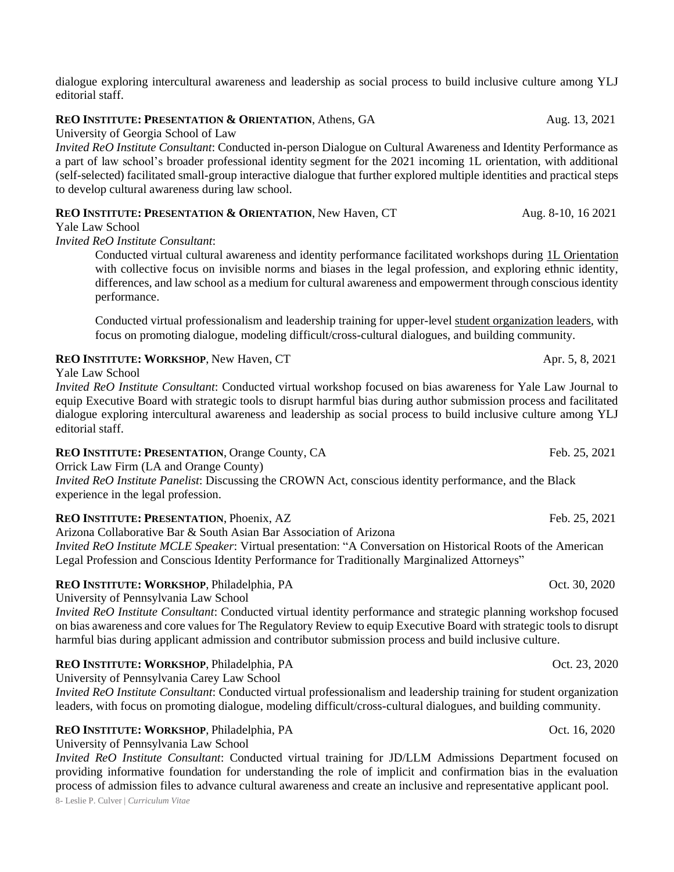dialogue exploring intercultural awareness and leadership as social process to build inclusive culture among YLJ editorial staff.

#### **REO INSTITUTE: PRESENTATION & ORIENTATION**, Athens, GA Aug. 13, 2021

University of Georgia School of Law

*Invited ReO Institute Consultant*: Conducted in-person Dialogue on Cultural Awareness and Identity Performance as a part of law school's broader professional identity segment for the 2021 incoming 1L orientation, with additional (self-selected) facilitated small-group interactive dialogue that further explored multiple identities and practical steps to develop cultural awareness during law school.

#### **REO INSTITUTE: PRESENTATION & ORIENTATION**, New Haven, CT Aug. 8-10, 16 2021

Yale Law School

*Invited ReO Institute Consultant*:

Conducted virtual cultural awareness and identity performance facilitated workshops during 1L Orientation with collective focus on invisible norms and biases in the legal profession, and exploring ethnic identity, differences, and law school as a medium for cultural awareness and empowerment through conscious identity performance.

Conducted virtual professionalism and leadership training for upper-level student organization leaders, with focus on promoting dialogue, modeling difficult/cross-cultural dialogues, and building community.

|  |  |  | <b>REO INSTITUTE: WORKSHOP, New Haven, CT</b> |  |
|--|--|--|-----------------------------------------------|--|
|--|--|--|-----------------------------------------------|--|

Yale Law School

*Invited ReO Institute Consultant*: Conducted virtual workshop focused on bias awareness for Yale Law Journal to equip Executive Board with strategic tools to disrupt harmful bias during author submission process and facilitated dialogue exploring intercultural awareness and leadership as social process to build inclusive culture among YLJ editorial staff.

#### **REO INSTITUTE: PRESENTATION**, Orange County, CA Feb. 25, 2021

Orrick Law Firm (LA and Orange County)

*Invited ReO Institute Panelist*: Discussing the CROWN Act, conscious identity performance, and the Black experience in the legal profession.

#### **REO INSTITUTE: PRESENTATION, Phoenix, AZ Feb. 25, 2021**

Arizona Collaborative Bar & South Asian Bar Association of Arizona *Invited ReO Institute MCLE Speaker*: Virtual presentation: "A Conversation on Historical Roots of the American Legal Profession and Conscious Identity Performance for Traditionally Marginalized Attorneys"

### **REO INSTITUTE: WORKSHOP**, Philadelphia, PA Oct. 30, 2020

University of Pennsylvania Law School

*Invited ReO Institute Consultant*: Conducted virtual identity performance and strategic planning workshop focused on bias awareness and core values for The Regulatory Review to equip Executive Board with strategic tools to disrupt harmful bias during applicant admission and contributor submission process and build inclusive culture.

#### **REO INSTITUTE: WORKSHOP**, Philadelphia, PA Oct. 23, 2020

University of Pennsylvania Carey Law School

*Invited ReO Institute Consultant*: Conducted virtual professionalism and leadership training for student organization leaders, with focus on promoting dialogue, modeling difficult/cross-cultural dialogues, and building community.

#### **REO INSTITUTE: WORKSHOP**, Philadelphia, PA Oct. 16, 2020

University of Pennsylvania Law School

8- Leslie P. Culver | *Curriculum Vitae Invited ReO Institute Consultant*: Conducted virtual training for JD/LLM Admissions Department focused on providing informative foundation for understanding the role of implicit and confirmation bias in the evaluation process of admission files to advance cultural awareness and create an inclusive and representative applicant pool.

**Apr. 5, 8, 2021**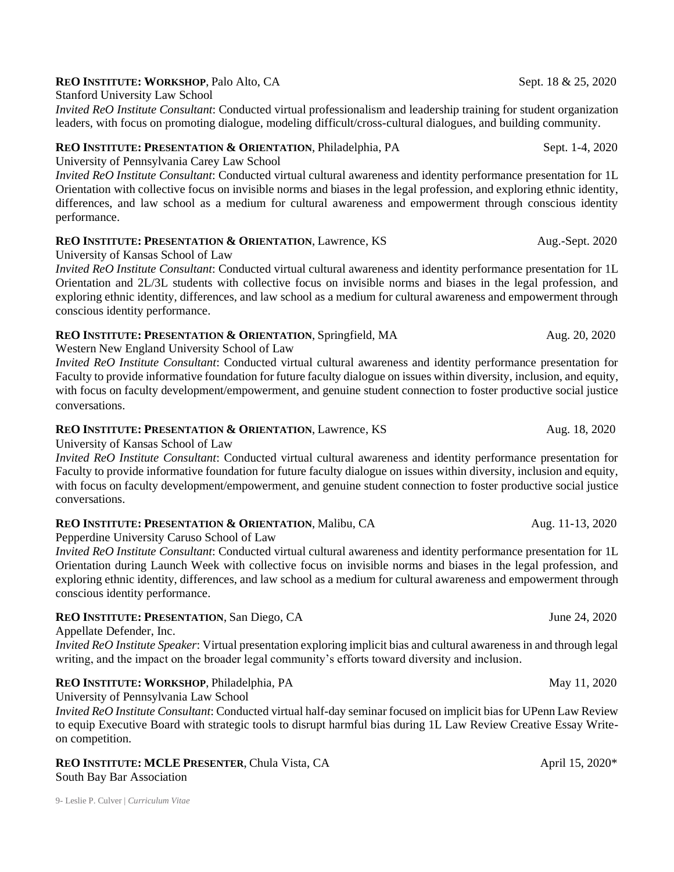#### 9- Leslie P. Culver | *Curriculum Vitae*

### **REO** INSTITUTE: WORKSHOP, Palo Alto, CA Sept. 18 & 25, 2020

Stanford University Law School

*Invited ReO Institute Consultant*: Conducted virtual professionalism and leadership training for student organization leaders, with focus on promoting dialogue, modeling difficult/cross-cultural dialogues, and building community.

## **REO INSTITUTE: PRESENTATION & ORIENTATION**, Philadelphia, PA Sept. 1-4, 2020

University of Pennsylvania Carey Law School

*Invited ReO Institute Consultant*: Conducted virtual cultural awareness and identity performance presentation for 1L Orientation with collective focus on invisible norms and biases in the legal profession, and exploring ethnic identity, differences, and law school as a medium for cultural awareness and empowerment through conscious identity performance.

# **REO INSTITUTE: PRESENTATION & ORIENTATION**, Lawrence, KS Aug.-Sept. 2020

University of Kansas School of Law

*Invited ReO Institute Consultant*: Conducted virtual cultural awareness and identity performance presentation for 1L Orientation and 2L/3L students with collective focus on invisible norms and biases in the legal profession, and exploring ethnic identity, differences, and law school as a medium for cultural awareness and empowerment through conscious identity performance.

## **REO INSTITUTE: PRESENTATION & ORIENTATION**, Springfield, MA Aug. 20, 2020

Western New England University School of Law

*Invited ReO Institute Consultant*: Conducted virtual cultural awareness and identity performance presentation for Faculty to provide informative foundation for future faculty dialogue on issues within diversity, inclusion, and equity, with focus on faculty development/empowerment, and genuine student connection to foster productive social justice conversations.

### **REO INSTITUTE: PRESENTATION & ORIENTATION**, Lawrence, KS Aug. 18, 2020

University of Kansas School of Law

*Invited ReO Institute Consultant*: Conducted virtual cultural awareness and identity performance presentation for Faculty to provide informative foundation for future faculty dialogue on issues within diversity, inclusion and equity, with focus on faculty development/empowerment, and genuine student connection to foster productive social justice conversations.

# **REO INSTITUTE: PRESENTATION & ORIENTATION**, Malibu, CA Aug. 11-13, 2020

Pepperdine University Caruso School of Law

*Invited ReO Institute Consultant*: Conducted virtual cultural awareness and identity performance presentation for 1L Orientation during Launch Week with collective focus on invisible norms and biases in the legal profession, and exploring ethnic identity, differences, and law school as a medium for cultural awareness and empowerment through conscious identity performance.

# **REO INSTITUTE: PRESENTATION**, San Diego, CA June 24, 2020

Appellate Defender, Inc.

*Invited ReO Institute Speaker*: Virtual presentation exploring implicit bias and cultural awareness in and through legal writing, and the impact on the broader legal community's efforts toward diversity and inclusion.

# **REO INSTITUTE: WORKSHOP, Philadelphia, PA May 11, 2020**

University of Pennsylvania Law School

*Invited ReO Institute Consultant*: Conducted virtual half-day seminar focused on implicit bias for UPenn Law Review to equip Executive Board with strategic tools to disrupt harmful bias during 1L Law Review Creative Essay Writeon competition.

# **REO INSTITUTE: MCLE PRESENTER**, Chula Vista, CA April 15, 2020\*

South Bay Bar Association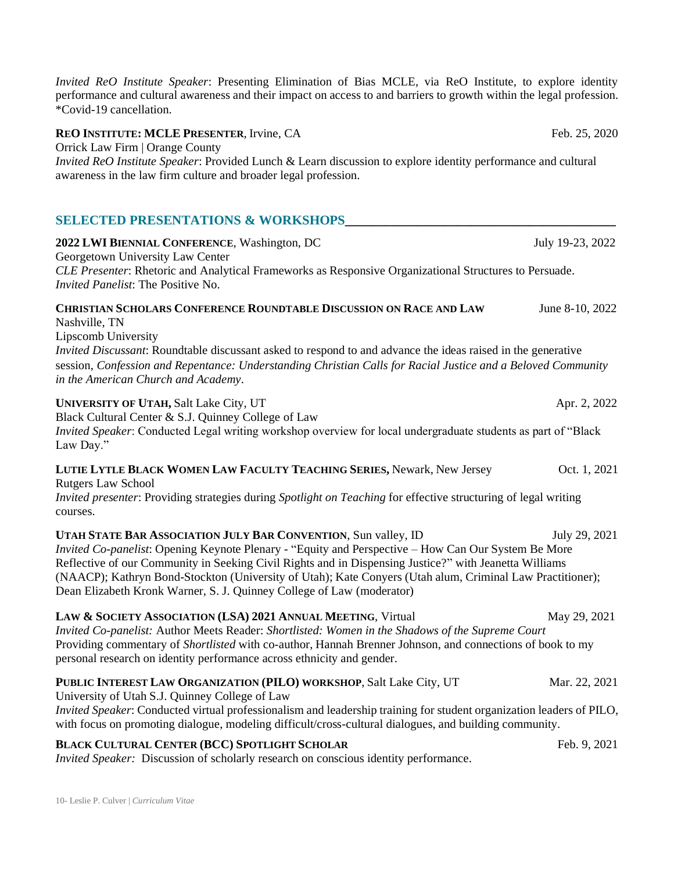*Invited ReO Institute Speaker*: Presenting Elimination of Bias MCLE, via ReO Institute, to explore identity performance and cultural awareness and their impact on access to and barriers to growth within the legal profession. \*Covid-19 cancellation. **REO INSTITUTE: MCLE PRESENTER**, Irvine, CA Feb. 25, 2020

Orrick Law Firm | Orange County

*Invited ReO Institute Speaker*: Provided Lunch & Learn discussion to explore identity performance and cultural awareness in the law firm culture and broader legal profession.

#### **SELECTED PRESENTATIONS & WORKSHOPS\_\_\_\_\_\_\_\_\_\_\_\_\_\_\_\_\_\_\_\_\_\_\_\_\_\_\_\_\_\_\_\_\_\_\_\_\_\_\_\_\_**

**2022 LWI BIENNIAL CONFERENCE**, Washington, DC July 19-23, 2022 Georgetown University Law Center *CLE Presenter*: Rhetoric and Analytical Frameworks as Responsive Organizational Structures to Persuade. *Invited Panelist*: The Positive No.

#### **CHRISTIAN SCHOLARS CONFERENCE ROUNDTABLE DISCUSSION ON RACE AND LAW** June 8-10, 2022 Nashville, TN

Lipscomb University

*Invited Discussant*: Roundtable discussant asked to respond to and advance the ideas raised in the generative session, *Confession and Repentance: Understanding Christian Calls for Racial Justice and a Beloved Community in the American Church and Academy*.

#### **UNIVERSITY OF UTAH, Salt Lake City, UT Apr. 2, 2022**

Black Cultural Center & S.J. Quinney College of Law *Invited Speaker*: Conducted Legal writing workshop overview for local undergraduate students as part of "Black Law Day."

#### **LUTIE LYTLE BLACK WOMEN LAW FACULTY TEACHING SERIES,** Newark, New Jersey Oct. 1, 2021 Rutgers Law School

*Invited presenter*: Providing strategies during *Spotlight on Teaching* for effective structuring of legal writing courses.

**UTAH STATE BAR ASSOCIATION JULY BAR CONVENTION**, Sun valley, ID July 29, 2021 *Invited Co-panelist*: Opening Keynote Plenary - "Equity and Perspective – How Can Our System Be More Reflective of our Community in Seeking Civil Rights and in Dispensing Justice?" with Jeanetta Williams (NAACP); Kathryn Bond-Stockton (University of Utah); Kate Conyers (Utah alum, Criminal Law Practitioner); Dean Elizabeth Kronk Warner, S. J. Quinney College of Law (moderator)

**LAW & SOCIETY ASSOCIATION (LSA) 2021 ANNUAL MEETING, Virtual May 29, 2021** *Invited Co-panelist:* Author Meets Reader: *Shortlisted: Women in the Shadows of the Supreme Court* Providing commentary of *Shortlisted* with co-author, Hannah Brenner Johnson, and connections of book to my personal research on identity performance across ethnicity and gender.

#### **PUBLIC INTEREST LAW ORGANIZATION (PILO) WORKSHOP**, Salt Lake City, UT Mar. 22, 2021

University of Utah S.J. Quinney College of Law

*Invited Speaker*: Conducted virtual professionalism and leadership training for student organization leaders of PILO, with focus on promoting dialogue, modeling difficult/cross-cultural dialogues, and building community.

#### **BLACK CULTURAL CENTER (BCC) SPOTLIGHT SCHOLAR** Feb. 9, 2021

*Invited Speaker:* Discussion of scholarly research on conscious identity performance.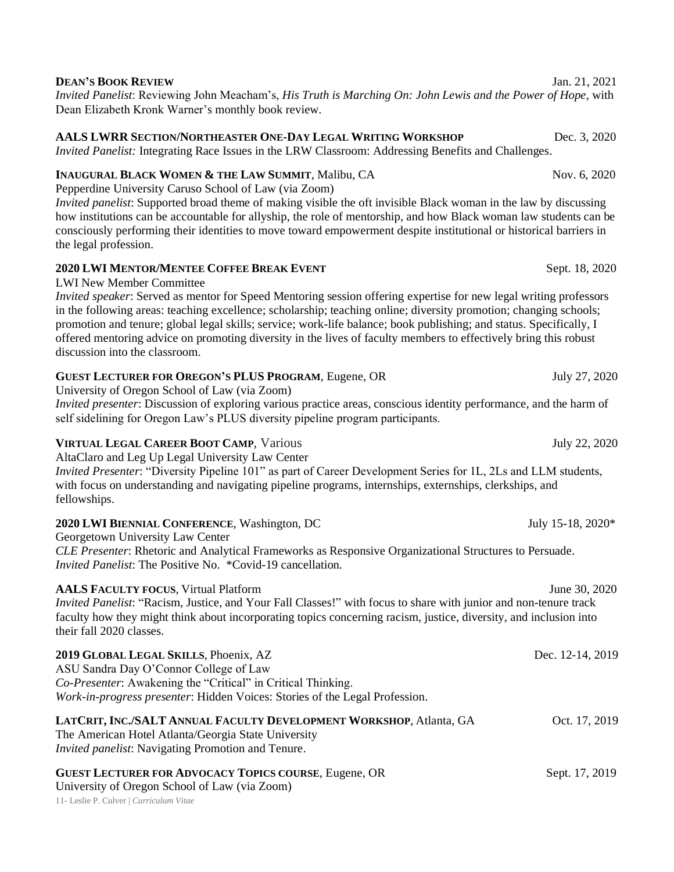| <b>VIRTUAL LEGAL CAREER BOOT CAMP, Various</b><br>AltaClaro and Leg Up Legal University Law Center                                                                                                                                                                                                               | July 22, 2020     |
|------------------------------------------------------------------------------------------------------------------------------------------------------------------------------------------------------------------------------------------------------------------------------------------------------------------|-------------------|
| Invited Presenter: "Diversity Pipeline 101" as part of Career Development Series for 1L, 2Ls and LLM students,<br>with focus on understanding and navigating pipeline programs, internships, externships, clerkships, and<br>fellowships.                                                                        |                   |
| 2020 LWI BIENNIAL CONFERENCE, Washington, DC<br>Georgetown University Law Center                                                                                                                                                                                                                                 | July 15-18, 2020* |
| CLE Presenter: Rhetoric and Analytical Frameworks as Responsive Organizational Structures to Persuade.<br>Invited Panelist: The Positive No. *Covid-19 cancellation.                                                                                                                                             |                   |
| <b>AALS FACULTY FOCUS, Virtual Platform</b><br>Invited Panelist: "Racism, Justice, and Your Fall Classes!" with focus to share with junior and non-tenure track<br>faculty how they might think about incorporating topics concerning racism, justice, diversity, and inclusion into<br>their fall 2020 classes. | June 30, 2020     |
| 2019 GLOBAL LEGAL SKILLS, Phoenix, AZ<br>ASU Sandra Day O'Connor College of Law<br>Co-Presenter: Awakening the "Critical" in Critical Thinking.<br>Work-in-progress presenter: Hidden Voices: Stories of the Legal Profession.                                                                                   | Dec. 12-14, 2019  |
| LATCRIT, INC./SALT ANNUAL FACULTY DEVELOPMENT WORKSHOP, Atlanta, GA<br>The American Hotel Atlanta/Georgia State University<br><i>Invited panelist:</i> Navigating Promotion and Tenure.                                                                                                                          | Oct. 17, 2019     |
| <b>GUEST LECTURER FOR ADVOCACY TOPICS COURSE, Eugene, OR</b><br>University of Oregon School of Law (via Zoom)<br>11- Leslie P. Culver   Curriculum Vitae                                                                                                                                                         | Sept. 17, 2019    |

#### **2020 LWI MENTOR/MENTEE COFFEE BREAK EVENT** Sept. 18, 2020

LWI New Member Committee

*Invited speaker*: Served as mentor for Speed Mentoring session offering expertise for new legal writing professors in the following areas: teaching excellence; scholarship; teaching online; diversity promotion; changing schools; promotion and tenure; global legal skills; service; work-life balance; book publishing; and status. Specifically, I offered mentoring advice on promoting diversity in the lives of faculty members to effectively bring this robust discussion into the classroom.

# GUEST LECTURER FOR OREGON'S PLUS PROGRAM, Eugene, OR July 27, 2020

University of Oregon School of Law (via Zoom)

*Invited presenter*: Discussion of exploring various practice areas, conscious identity performance, and the harm of self sidelining for Oregon Law's PLUS diversity pipeline program participants.

#### **DEAN'S BOOK REVIEW** Jan. 21, 2021

*Invited Panelist*: Reviewing John Meacham's, *His Truth is Marching On: John Lewis and the Power of Hope*, with Dean Elizabeth Kronk Warner's monthly book review.

# **AALS LWRR SECTION/NORTHEASTER ONE-DAY LEGAL WRITING WORKSHOP** Dec. 3, 2020

*Invited Panelist:* Integrating Race Issues in the LRW Classroom: Addressing Benefits and Challenges.

# **INAUGURAL BLACK WOMEN & THE LAW SUMMIT**, Malibu, CA Nov. 6, 2020

Pepperdine University Caruso School of Law (via Zoom)

*Invited panelist*: Supported broad theme of making visible the oft invisible Black woman in the law by discussing how institutions can be accountable for allyship, the role of mentorship, and how Black woman law students can be consciously performing their identities to move toward empowerment despite institutional or historical barriers in the legal profession.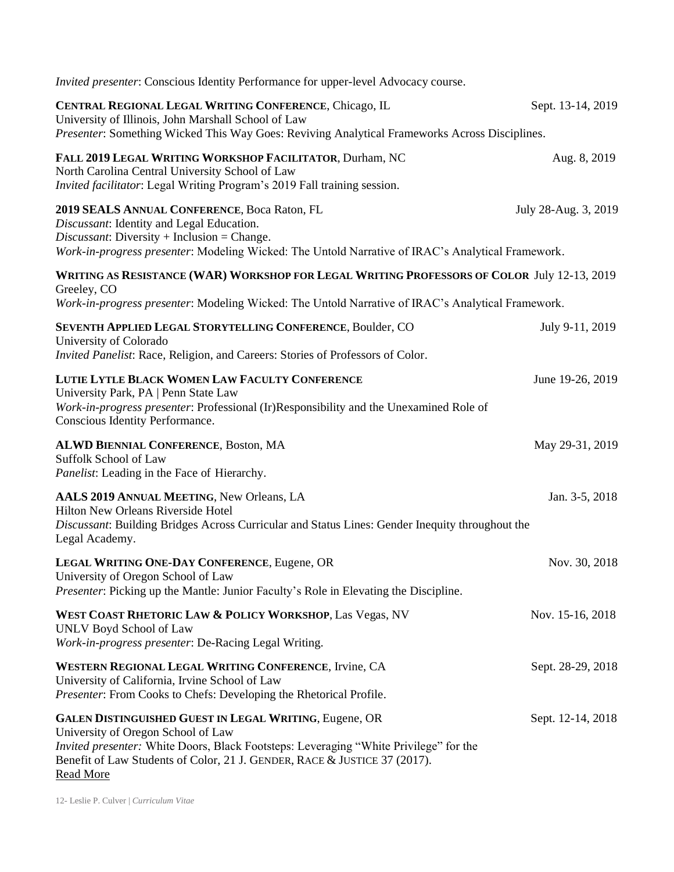| Invited presenter: Conscious Identity Performance for upper-level Advocacy course.                                                                                                                                                                                                            |                      |
|-----------------------------------------------------------------------------------------------------------------------------------------------------------------------------------------------------------------------------------------------------------------------------------------------|----------------------|
| CENTRAL REGIONAL LEGAL WRITING CONFERENCE, Chicago, IL<br>University of Illinois, John Marshall School of Law<br>Presenter: Something Wicked This Way Goes: Reviving Analytical Frameworks Across Disciplines.                                                                                | Sept. 13-14, 2019    |
| FALL 2019 LEGAL WRITING WORKSHOP FACILITATOR, Durham, NC<br>North Carolina Central University School of Law<br>Invited facilitator: Legal Writing Program's 2019 Fall training session.                                                                                                       | Aug. 8, 2019         |
| 2019 SEALS ANNUAL CONFERENCE, Boca Raton, FL<br>Discussant: Identity and Legal Education.<br>$Discussion: Diversity + Inclusion = Change.$<br>Work-in-progress presenter: Modeling Wicked: The Untold Narrative of IRAC's Analytical Framework.                                               | July 28-Aug. 3, 2019 |
| WRITING AS RESISTANCE (WAR) WORKSHOP FOR LEGAL WRITING PROFESSORS OF COLOR July 12-13, 2019<br>Greeley, CO<br>Work-in-progress presenter: Modeling Wicked: The Untold Narrative of IRAC's Analytical Framework.                                                                               |                      |
| SEVENTH APPLIED LEGAL STORYTELLING CONFERENCE, Boulder, CO<br>University of Colorado<br>Invited Panelist: Race, Religion, and Careers: Stories of Professors of Color.                                                                                                                        | July 9-11, 2019      |
| LUTIE LYTLE BLACK WOMEN LAW FACULTY CONFERENCE<br>University Park, PA   Penn State Law<br>Work-in-progress presenter: Professional (Ir)Responsibility and the Unexamined Role of<br>Conscious Identity Performance.                                                                           | June 19-26, 2019     |
| <b>ALWD BIENNIAL CONFERENCE, Boston, MA</b><br>Suffolk School of Law<br>Panelist: Leading in the Face of Hierarchy.                                                                                                                                                                           | May 29-31, 2019      |
| AALS 2019 ANNUAL MEETING, New Orleans, LA<br><b>Hilton New Orleans Riverside Hotel</b><br>Discussant: Building Bridges Across Curricular and Status Lines: Gender Inequity throughout the<br>Legal Academy.                                                                                   | Jan. 3-5, 2018       |
| LEGAL WRITING ONE-DAY CONFERENCE, Eugene, OR<br>University of Oregon School of Law<br><i>Presenter:</i> Picking up the Mantle: Junior Faculty's Role in Elevating the Discipline.                                                                                                             | Nov. 30, 2018        |
| WEST COAST RHETORIC LAW & POLICY WORKSHOP, Las Vegas, NV<br>UNLV Boyd School of Law<br>Work-in-progress presenter: De-Racing Legal Writing.                                                                                                                                                   | Nov. 15-16, 2018     |
| WESTERN REGIONAL LEGAL WRITING CONFERENCE, Irvine, CA<br>University of California, Irvine School of Law<br>Presenter: From Cooks to Chefs: Developing the Rhetorical Profile.                                                                                                                 | Sept. 28-29, 2018    |
| GALEN DISTINGUISHED GUEST IN LEGAL WRITING, Eugene, OR<br>University of Oregon School of Law<br><i>Invited presenter:</i> White Doors, Black Footsteps: Leveraging "White Privilege" for the<br>Benefit of Law Students of Color, 21 J. GENDER, RACE & JUSTICE 37 (2017).<br><b>Read More</b> | Sept. 12-14, 2018    |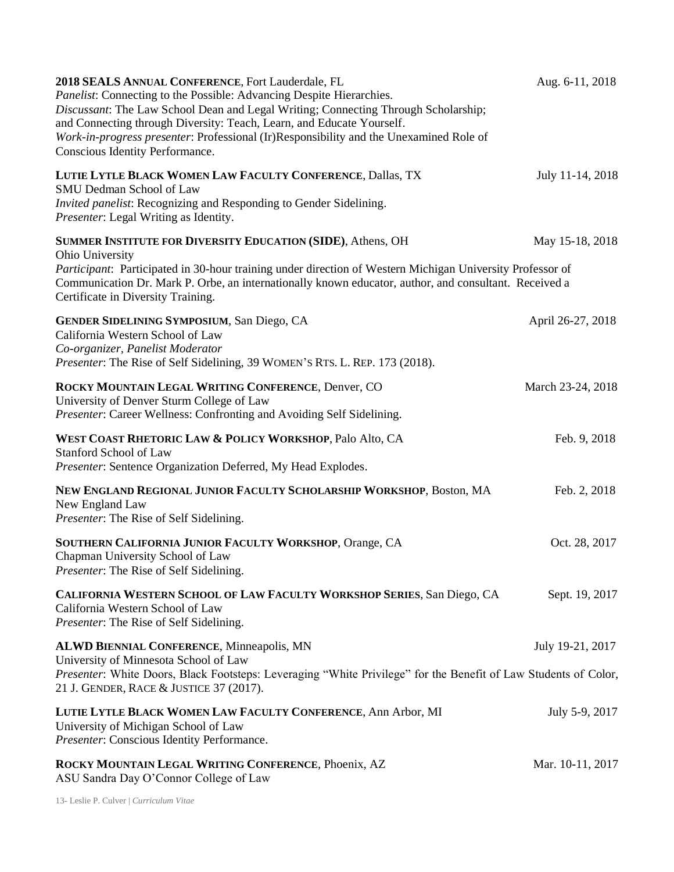| 2018 SEALS ANNUAL CONFERENCE, Fort Lauderdale, FL<br><i>Panelist:</i> Connecting to the Possible: Advancing Despite Hierarchies.<br>Discussant: The Law School Dean and Legal Writing; Connecting Through Scholarship;<br>and Connecting through Diversity: Teach, Learn, and Educate Yourself.<br>Work-in-progress presenter: Professional (Ir)Responsibility and the Unexamined Role of<br>Conscious Identity Performance. | Aug. 6-11, 2018   |
|------------------------------------------------------------------------------------------------------------------------------------------------------------------------------------------------------------------------------------------------------------------------------------------------------------------------------------------------------------------------------------------------------------------------------|-------------------|
| LUTIE LYTLE BLACK WOMEN LAW FACULTY CONFERENCE, Dallas, TX<br>SMU Dedman School of Law<br>Invited panelist: Recognizing and Responding to Gender Sidelining.<br>Presenter: Legal Writing as Identity.                                                                                                                                                                                                                        | July 11-14, 2018  |
| SUMMER INSTITUTE FOR DIVERSITY EDUCATION (SIDE), Athens, OH<br>Ohio University<br>Participant: Participated in 30-hour training under direction of Western Michigan University Professor of<br>Communication Dr. Mark P. Orbe, an internationally known educator, author, and consultant. Received a<br>Certificate in Diversity Training.                                                                                   | May 15-18, 2018   |
| <b>GENDER SIDELINING SYMPOSIUM, San Diego, CA</b><br>California Western School of Law<br>Co-organizer, Panelist Moderator<br>Presenter: The Rise of Self Sidelining, 39 WOMEN's RTS. L. REP. 173 (2018).                                                                                                                                                                                                                     | April 26-27, 2018 |
| ROCKY MOUNTAIN LEGAL WRITING CONFERENCE, Denver, CO<br>University of Denver Sturm College of Law<br>Presenter: Career Wellness: Confronting and Avoiding Self Sidelining.                                                                                                                                                                                                                                                    | March 23-24, 2018 |
| WEST COAST RHETORIC LAW & POLICY WORKSHOP, Palo Alto, CA<br><b>Stanford School of Law</b><br>Presenter: Sentence Organization Deferred, My Head Explodes.                                                                                                                                                                                                                                                                    | Feb. 9, 2018      |
| NEW ENGLAND REGIONAL JUNIOR FACULTY SCHOLARSHIP WORKSHOP, Boston, MA<br>New England Law<br>Presenter: The Rise of Self Sidelining.                                                                                                                                                                                                                                                                                           | Feb. 2, 2018      |
| SOUTHERN CALIFORNIA JUNIOR FACULTY WORKSHOP, Orange, CA<br>Chapman University School of Law<br>Presenter: The Rise of Self Sidelining.                                                                                                                                                                                                                                                                                       | Oct. 28, 2017     |
| CALIFORNIA WESTERN SCHOOL OF LAW FACULTY WORKSHOP SERIES, San Diego, CA<br>California Western School of Law<br>Presenter: The Rise of Self Sidelining.                                                                                                                                                                                                                                                                       | Sept. 19, 2017    |
| <b>ALWD BIENNIAL CONFERENCE, Minneapolis, MN</b><br>University of Minnesota School of Law<br>Presenter: White Doors, Black Footsteps: Leveraging "White Privilege" for the Benefit of Law Students of Color,<br>21 J. GENDER, RACE & JUSTICE 37 (2017).                                                                                                                                                                      | July 19-21, 2017  |
| LUTIE LYTLE BLACK WOMEN LAW FACULTY CONFERENCE, Ann Arbor, MI<br>University of Michigan School of Law<br>Presenter: Conscious Identity Performance.                                                                                                                                                                                                                                                                          | July 5-9, 2017    |
| ROCKY MOUNTAIN LEGAL WRITING CONFERENCE, Phoenix, AZ<br>ASU Sandra Day O'Connor College of Law                                                                                                                                                                                                                                                                                                                               | Mar. 10-11, 2017  |

13- Leslie P. Culver | *Curriculum Vitae*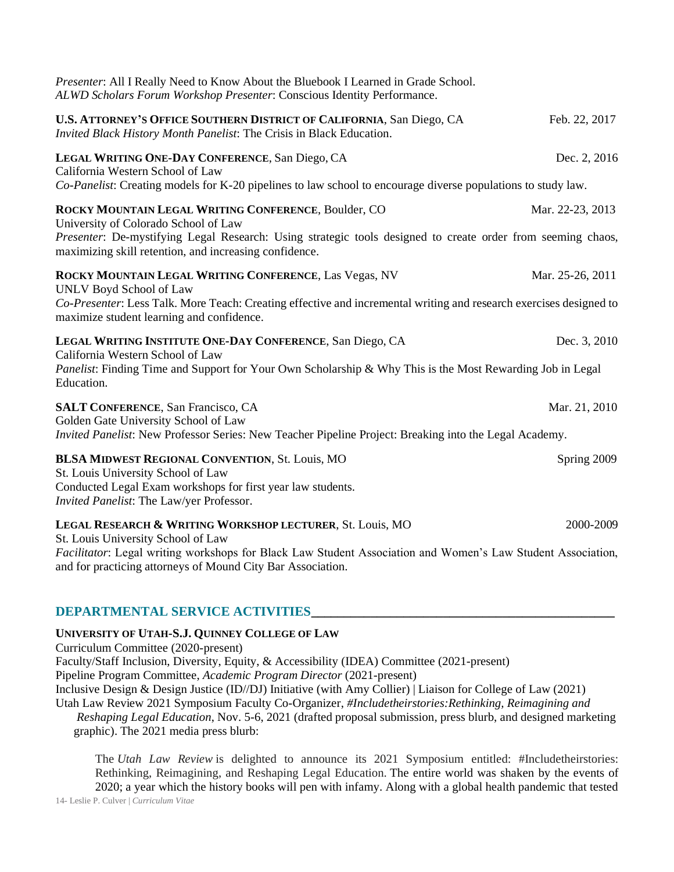| Presenter: All I Really Need to Know About the Bluebook I Learned in Grade School.<br>ALWD Scholars Forum Workshop Presenter: Conscious Identity Performance.                                                                                                                 |                  |
|-------------------------------------------------------------------------------------------------------------------------------------------------------------------------------------------------------------------------------------------------------------------------------|------------------|
| U.S. ATTORNEY'S OFFICE SOUTHERN DISTRICT OF CALIFORNIA, San Diego, CA<br>Invited Black History Month Panelist: The Crisis in Black Education.                                                                                                                                 | Feb. 22, 2017    |
| LEGAL WRITING ONE-DAY CONFERENCE, San Diego, CA<br>California Western School of Law<br>Co-Panelist: Creating models for K-20 pipelines to law school to encourage diverse populations to study law.                                                                           | Dec. 2, 2016     |
| ROCKY MOUNTAIN LEGAL WRITING CONFERENCE, Boulder, CO<br>University of Colorado School of Law<br>Presenter: De-mystifying Legal Research: Using strategic tools designed to create order from seeming chaos,<br>maximizing skill retention, and increasing confidence.         | Mar. 22-23, 2013 |
| ROCKY MOUNTAIN LEGAL WRITING CONFERENCE, Las Vegas, NV<br>UNLV Boyd School of Law<br>Co-Presenter: Less Talk. More Teach: Creating effective and incremental writing and research exercises designed to<br>maximize student learning and confidence.                          | Mar. 25-26, 2011 |
| LEGAL WRITING INSTITUTE ONE-DAY CONFERENCE, San Diego, CA<br>California Western School of Law<br>Panelist: Finding Time and Support for Your Own Scholarship & Why This is the Most Rewarding Job in Legal<br>Education.                                                      | Dec. 3, 2010     |
| <b>SALT CONFERENCE, San Francisco, CA</b><br>Golden Gate University School of Law<br>Invited Panelist: New Professor Series: New Teacher Pipeline Project: Breaking into the Legal Academy.                                                                                   | Mar. 21, 2010    |
| <b>BLSA MIDWEST REGIONAL CONVENTION, St. Louis, MO</b><br>St. Louis University School of Law<br>Conducted Legal Exam workshops for first year law students.<br>Invited Panelist: The Law/yer Professor.                                                                       | Spring 2009      |
| LEGAL RESEARCH & WRITING WORKSHOP LECTURER, St. Louis, MO<br>St. Louis University School of Law<br>Facilitator: Legal writing workshops for Black Law Student Association and Women's Law Student Association,<br>and for practicing attorneys of Mound City Bar Association. | 2000-2009        |

#### **DEPARTMENTAL SERVICE ACTIVITIES\_\_\_\_\_\_\_\_\_\_\_\_\_\_\_\_\_\_\_\_\_\_\_\_\_\_\_\_\_\_\_\_\_\_\_\_\_\_\_\_\_\_\_\_\_\_**

#### **UNIVERSITY OF UTAH-S.J. QUINNEY COLLEGE OF LAW**

Curriculum Committee (2020-present)

Faculty/Staff Inclusion, Diversity, Equity, & Accessibility (IDEA) Committee (2021-present)

Pipeline Program Committee, *Academic Program Director* (2021-present)

Inclusive Design & Design Justice (ID//DJ) Initiative (with Amy Collier) | Liaison for College of Law (2021)

Utah Law Review 2021 Symposium Faculty Co-Organizer, *#Includetheirstories:Rethinking, Reimagining and Reshaping Legal Education*, Nov. 5-6, 2021 (drafted proposal submission, press blurb, and designed marketing graphic). The 2021 media press blurb:

The *Utah Law Review* is delighted to announce its 2021 Symposium entitled: #Includetheirstories: Rethinking, Reimagining, and Reshaping Legal Education. The entire world was shaken by the events of 2020; a year which the history books will pen with infamy. Along with a global health pandemic that tested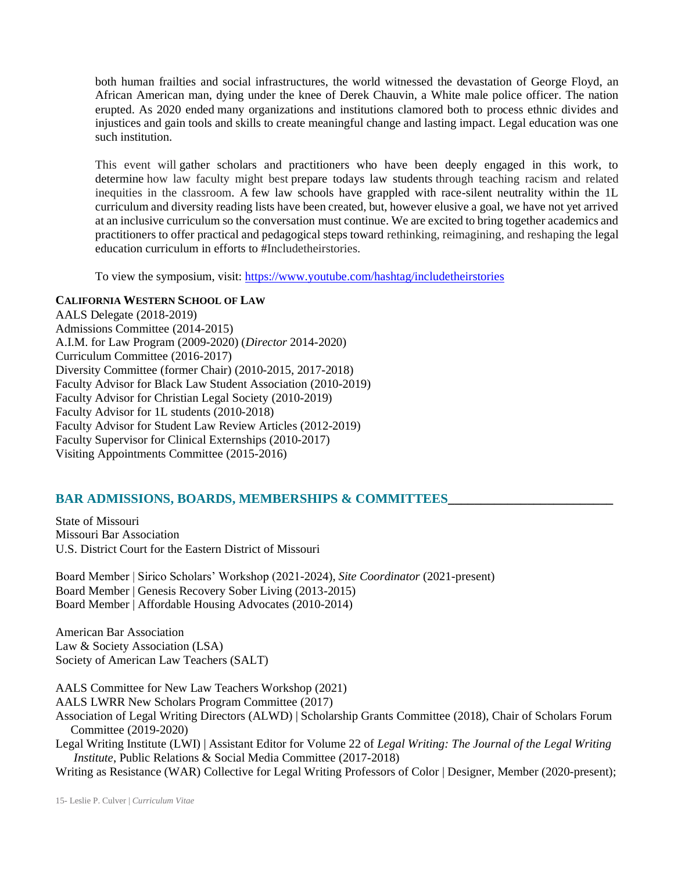both human frailties and social infrastructures, the world witnessed the devastation of George Floyd, an African American man, dying under the knee of Derek Chauvin, a White male police officer. The nation erupted. As 2020 ended many organizations and institutions clamored both to process ethnic divides and injustices and gain tools and skills to create meaningful change and lasting impact. Legal education was one such institution.

This event will gather scholars and practitioners who have been deeply engaged in this work, to determine how law faculty might best prepare todays law students through teaching racism and related inequities in the classroom. A few law schools have grappled with race-silent neutrality within the 1L curriculum and diversity reading lists have been created, but, however elusive a goal, we have not yet arrived at an inclusive curriculum so the conversation must continue. We are excited to bring together academics and practitioners to offer practical and pedagogical steps toward rethinking, reimagining, and reshaping the legal education curriculum in efforts to #Includetheirstories.

To view the symposium, visit:<https://www.youtube.com/hashtag/includetheirstories>

#### **CALIFORNIA WESTERN SCHOOL OF LAW**

AALS Delegate (2018-2019) Admissions Committee (2014-2015) A.I.M. for Law Program (2009-2020) (*Director* 2014-2020) Curriculum Committee (2016-2017) Diversity Committee (former Chair) (2010-2015, 2017-2018) Faculty Advisor for Black Law Student Association (2010-2019) Faculty Advisor for Christian Legal Society (2010-2019) Faculty Advisor for 1L students (2010-2018) Faculty Advisor for Student Law Review Articles (2012-2019) Faculty Supervisor for Clinical Externships (2010-2017) Visiting Appointments Committee (2015-2016)

#### **BAR ADMISSIONS, BOARDS, MEMBERSHIPS & COMMITTEES\_\_\_\_\_\_\_\_\_\_\_\_\_\_\_\_\_\_\_\_\_\_\_\_\_**

State of Missouri Missouri Bar Association U.S. District Court for the Eastern District of Missouri

Board Member | Sirico Scholars' Workshop (2021-2024), *Site Coordinator* (2021-present) Board Member | Genesis Recovery Sober Living (2013-2015) Board Member | Affordable Housing Advocates (2010-2014)

American Bar Association Law & Society Association (LSA) Society of American Law Teachers (SALT)

AALS Committee for New Law Teachers Workshop (2021) AALS LWRR New Scholars Program Committee (2017) Association of Legal Writing Directors (ALWD) | Scholarship Grants Committee (2018), Chair of Scholars Forum Committee (2019-2020)

Legal Writing Institute (LWI) | Assistant Editor for Volume 22 of *Legal Writing: The Journal of the Legal Writing Institute*, Public Relations & Social Media Committee (2017-2018)

Writing as Resistance (WAR) Collective for Legal Writing Professors of Color | Designer, Member (2020-present);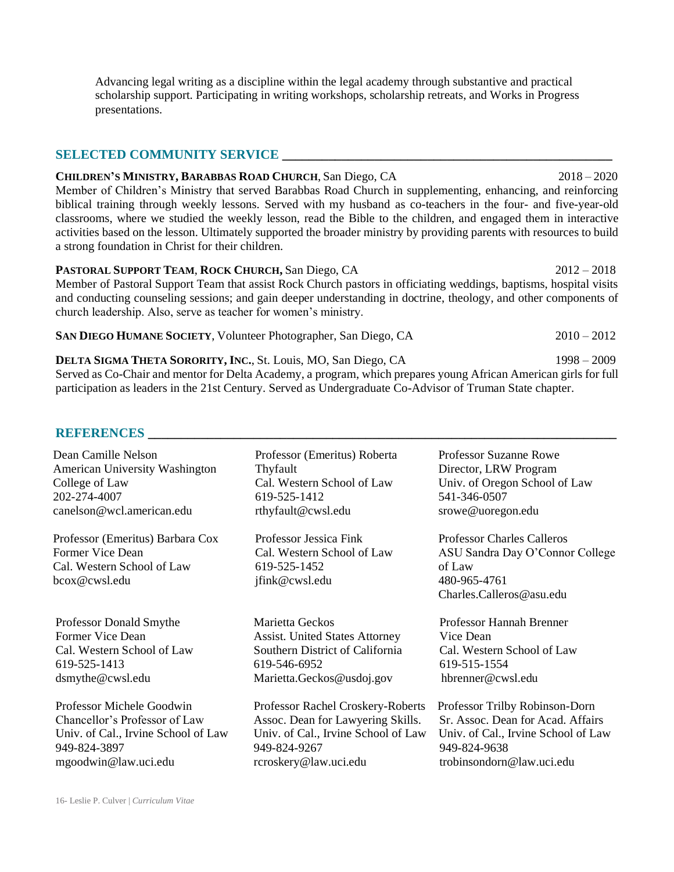Advancing legal writing as a discipline within the legal academy through substantive and practical scholarship support. Participating in writing workshops, scholarship retreats, and Works in Progress presentations.

#### **SELECTED COMMUNITY SERVICE**

**CHILDREN'S MINISTRY, BARABBAS ROAD CHURCH**, San Diego, CA 2018 – 2020 Member of Children's Ministry that served Barabbas Road Church in supplementing, enhancing, and reinforcing biblical training through weekly lessons. Served with my husband as co-teachers in the four- and five-year-old classrooms, where we studied the weekly lesson, read the Bible to the children, and engaged them in interactive activities based on the lesson. Ultimately supported the broader ministry by providing parents with resources to build a strong foundation in Christ for their children.

**PASTORAL SUPPORT TEAM**, **ROCK CHURCH,** San Diego, CA 2012 – 2018 Member of Pastoral Support Team that assist Rock Church pastors in officiating weddings, baptisms, hospital visits and conducting counseling sessions; and gain deeper understanding in doctrine, theology, and other components of church leadership. Also, serve as teacher for women's ministry.

| SAN DIEGO HUMANE SOCIETY, Volunteer Photographer, San Diego, CA       | $2010 - 2012$ |
|-----------------------------------------------------------------------|---------------|
| <b>DELTA SIGMA THETA SORORITY, INC., St. Louis, MO, San Diego, CA</b> | $1998 - 2009$ |

Served as Co-Chair and mentor for Delta Academy, a program, which prepares young African American girls for full participation as leaders in the 21st Century. Served as Undergraduate Co-Advisor of Truman State chapter.

#### **REFERENCES**

| Dean Camille Nelson                                                                                 | Professor (Emeritus) Roberta                                                           | <b>Professor Suzanne Rowe</b>                                                                                              |
|-----------------------------------------------------------------------------------------------------|----------------------------------------------------------------------------------------|----------------------------------------------------------------------------------------------------------------------------|
| American University Washington                                                                      | Thyfault                                                                               | Director, LRW Program                                                                                                      |
| College of Law                                                                                      | Cal. Western School of Law                                                             | Univ. of Oregon School of Law                                                                                              |
| 202-274-4007                                                                                        | 619-525-1412                                                                           | 541-346-0507                                                                                                               |
| canelson@wcl.american.edu                                                                           | rthyfault@cwsl.edu                                                                     | srowe@uoregon.edu                                                                                                          |
| Professor (Emeritus) Barbara Cox<br>Former Vice Dean<br>Cal. Western School of Law<br>bcox@cwsl.edu | Professor Jessica Fink<br>Cal. Western School of Law<br>619-525-1452<br>jfink@cwsl.edu | <b>Professor Charles Calleros</b><br>ASU Sandra Day O'Connor College<br>of Law<br>480-965-4761<br>Charles.Calleros@asu.edu |
| <b>Professor Donald Smythe</b>                                                                      | Marietta Geckos                                                                        | Professor Hannah Brenner                                                                                                   |
| Former Vice Dean                                                                                    | <b>Assist.</b> United States Attorney                                                  | Vice Dean                                                                                                                  |
| Cal. Western School of Law                                                                          | Southern District of California                                                        | Cal. Western School of Law                                                                                                 |
| 619-525-1413                                                                                        | 619-546-6952                                                                           | 619-515-1554                                                                                                               |
| dsmythe@cwsl.edu                                                                                    | Marietta.Geckos@usdoj.gov                                                              | hbrenner@cwsl.edu                                                                                                          |
| Professor Michele Goodwin                                                                           | Professor Rachel Croskery-Roberts                                                      | Professor Trilby Robinson-Dorn                                                                                             |
| Chancellor's Professor of Law                                                                       | Assoc. Dean for Lawyering Skills.                                                      | Sr. Assoc. Dean for Acad. Affairs                                                                                          |
| Univ. of Cal., Irvine School of Law                                                                 | Univ. of Cal., Irvine School of Law                                                    | Univ. of Cal., Irvine School of Law                                                                                        |
| 949-824-3897                                                                                        | 949-824-9267                                                                           | 949-824-9638                                                                                                               |
| mgoodwin@law.uci.edu                                                                                | rcroskery@law.uci.edu                                                                  | trobinsondorn@law.uci.edu                                                                                                  |